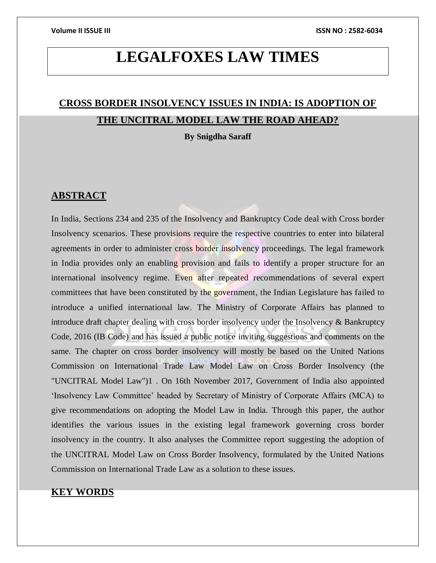# **LEGALFOXES LAW TIMES**

# **CROSS BORDER INSOLVENCY ISSUES IN INDIA: IS ADOPTION OF THE UNCITRAL MODEL LAW THE ROAD AHEAD?**

**By Snigdha Saraff**

### **ABSTRACT**

In India, Sections 234 and 235 of the Insolvency and Bankruptcy Code deal with Cross border Insolvency scenarios. These provisions require the respective countries to enter into bilateral agreements in order to administer cross border insolvency proceedings. The legal framework in India provides only an enabling provision and fails to identify a proper structure for an international insolvency regime. Even after repeated recommendations of several expert committees that have been constituted by the government, the Indian Legislature has failed to introduce a unified international law. The Ministry of Corporate Affairs has planned to introduce draft chapter dealing with cross border insolvency under the Insolvency & Bankruptcy Code, 2016 (IB Code) and has issued a public notice inviting suggestions and comments on the same. The chapter on cross border insolvency will mostly be based on the United Nations Commission on International Trade Law Model Law on Cross Border Insolvency (the "UNCITRAL Model Law")1 . On 16th November 2017, Government of India also appointed 'Insolvency Law Committee' headed by Secretary of Ministry of Corporate Affairs (MCA) to give recommendations on adopting the Model Law in India. Through this paper, the author identifies the various issues in the existing legal framework governing cross border insolvency in the country. It also analyses the Committee report suggesting the adoption of the UNCITRAL Model Law on Cross Border Insolvency, formulated by the United Nations Commission on International Trade Law as a solution to these issues.

## **KEY WORDS**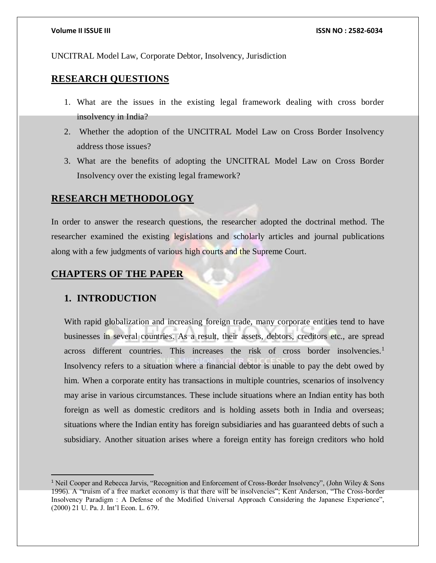UNCITRAL Model Law, Corporate Debtor, Insolvency, Jurisdiction

# **RESEARCH QUESTIONS**

- 1. What are the issues in the existing legal framework dealing with cross border insolvency in India?
- 2. Whether the adoption of the UNCITRAL Model Law on Cross Border Insolvency address those issues?
- 3. What are the benefits of adopting the UNCITRAL Model Law on Cross Border Insolvency over the existing legal framework?

# **RESEARCH METHODOLOGY**

In order to answer the research questions, the researcher adopted the doctrinal method. The researcher examined the existing legislations and scholarly articles and journal publications along with a few judgments of various high courts and the Supreme Court.

# **CHAPTERS OF THE PAPER**

### **1. INTRODUCTION**

 $\overline{a}$ 

With rapid globalization and increasing foreign trade, many corporate entities tend to have businesses in several countries. As a result, their assets, debtors, creditors etc., are spread across different countries. This increases the risk of cross border insolvencies. $<sup>1</sup>$ </sup> Insolvency refers to a situation where a financial debtor is unable to pay the debt owed by him. When a corporate entity has transactions in multiple countries, scenarios of insolvency may arise in various circumstances. These include situations where an Indian entity has both foreign as well as domestic creditors and is holding assets both in India and overseas; situations where the Indian entity has foreign subsidiaries and has guaranteed debts of such a subsidiary. Another situation arises where a foreign entity has foreign creditors who hold

<sup>1</sup> Neil Cooper and Rebecca Jarvis, "Recognition and Enforcement of Cross-Border Insolvency", (John Wiley & Sons 1996). A "truism of a free market economy is that there will be insolvencies"; Kent Anderson, "The Cross-border Insolvency Paradigm : A Defense of the Modified Universal Approach Considering the Japanese Experience", (2000) 21 U. Pa. J. Int'l Econ. L. 679.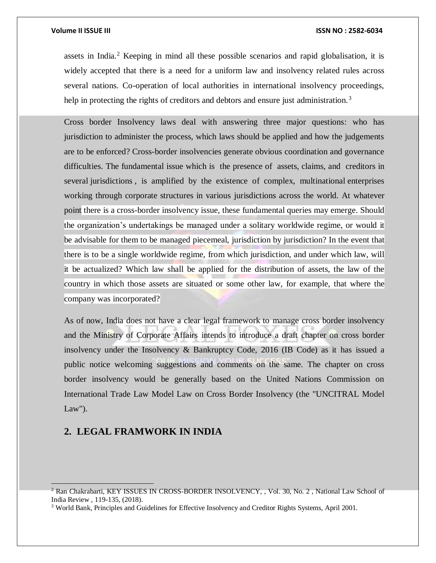assets in India.<sup>2</sup> Keeping in mind all these possible scenarios and rapid globalisation, it is widely accepted that there is a need for a uniform law and insolvency related rules across several nations. Co-operation of local authorities in international insolvency proceedings, help in protecting the rights of creditors and debtors and ensure just administration.<sup>3</sup>

Cross border Insolvency laws deal with answering three major questions: who has jurisdiction to administer the process, which laws should be applied and how the judgements are to be enforced? Cross-border insolvencies generate obvious coordination and governance difficulties. The fundamental issue which is the presence of assets, claims, and creditors in several jurisdictions , is amplified by the existence of complex, multinational enterprises working through corporate structures in various jurisdictions across the world. At whatever point there is a cross-border insolvency issue, these fundamental queries may emerge. Should the organization's undertakings be managed under a solitary worldwide regime, or would it be advisable for them to be managed piecemeal, jurisdiction by jurisdiction? In the event that there is to be a single worldwide regime, from which jurisdiction, and under which law, will it be actualized? Which law shall be applied for the distribution of assets, the law of the country in which those assets are situated or some other law, for example, that where the company was incorporated?

As of now, India does not have a clear legal framework to manage cross border insolvency and the Ministry of Corporate Affairs intends to introduce a draft chapter on cross border insolvency under the Insolvency & Bankruptcy Code, 2016 (IB Code) as it has issued a public notice welcoming suggestions and comments on the same. The chapter on cross border insolvency would be generally based on the United Nations Commission on International Trade Law Model Law on Cross Border Insolvency (the "UNCITRAL Model Law").

### **2. LEGAL FRAMWORK IN INDIA**

<sup>&</sup>lt;sup>2</sup> Ran Chakrabarti, KEY ISSUES IN CROSS-BORDER INSOLVENCY, , Vol. 30, No. 2, National Law School of India Review , 119-135, (2018).

<sup>3</sup> World Bank, Principles and Guidelines for Effective Insolvency and Creditor Rights Systems, April 2001.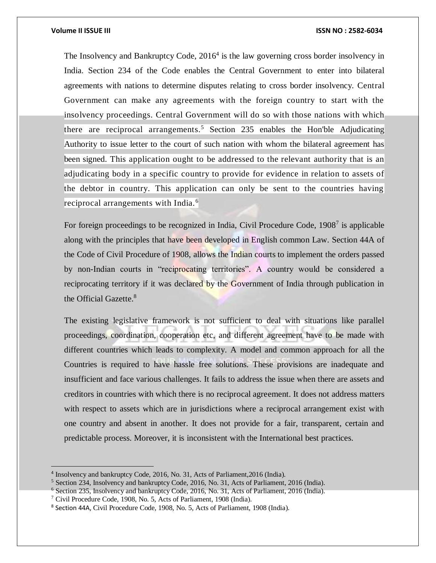### **Volume II ISSUE III ISSN NO : 2582-6034**

The Insolvency and Bankruptcy Code, 2016<sup>4</sup> is the law governing cross border insolvency in India. Section 234 of the Code enables the Central Government to enter into bilateral agreements with nations to determine disputes relating to cross border insolvency. Central Government can make any agreements with the foreign country to start with the insolvency proceedings. Central Government will do so with those nations with which there are reciprocal arrangements.<sup>5</sup> Section 235 enables the Hon'ble Adjudicating Authority to issue letter to the court of such nation with whom the bilateral agreement has been signed. This application ought to be addressed to the relevant authority that is an adjudicating body in a specific country to provide for evidence in relation to assets of the debtor in country. This application can only be sent to the countries having reciprocal arrangements with India. <sup>6</sup>

For foreign proceedings to be recognized in India, Civil Procedure Code, 1908<sup>7</sup> is applicable along with the principles that have been developed in English common Law. Section 44A of the Code of Civil Procedure of 1908, allows the Indian courts to implement the orders passed by non-Indian courts in "reciprocating territories". A country would be considered a reciprocating territory if it was declared by the Government of India through publication in the Official Gazette.<sup>8</sup>

The existing legislative framework is not sufficient to deal with situations like parallel proceedings, coordination, cooperation etc, and different agreement have to be made with different countries which leads to complexity. A model and common approach for all the Countries is required to have hassle free solutions. These provisions are inadequate and insufficient and face various challenges. It fails to address the issue when there are assets and creditors in countries with which there is no reciprocal agreement. It does not address matters with respect to assets which are in jurisdictions where a reciprocal arrangement exist with one country and absent in another. It does not provide for a fair, transparent, certain and predictable process. Moreover, it is inconsistent with the International best practices.

<sup>4</sup> Insolvency and bankruptcy Code, 2016, No. 31, Acts of Parliament,2016 (India).

 $<sup>5</sup>$  Section 234, Insolvency and bankruptcy Code, 2016, No. 31, Acts of Parliament, 2016 (India).</sup>

<sup>6</sup> Section 235, Insolvency and bankruptcy Code, 2016, No. 31, Acts of Parliament, 2016 (India).

<sup>7</sup> Civil Procedure Code, 1908, No. 5, Acts of Parliament, 1908 (India).

<sup>&</sup>lt;sup>8</sup> Section 44A, Civil Procedure Code, 1908, No. 5, Acts of Parliament, 1908 (India).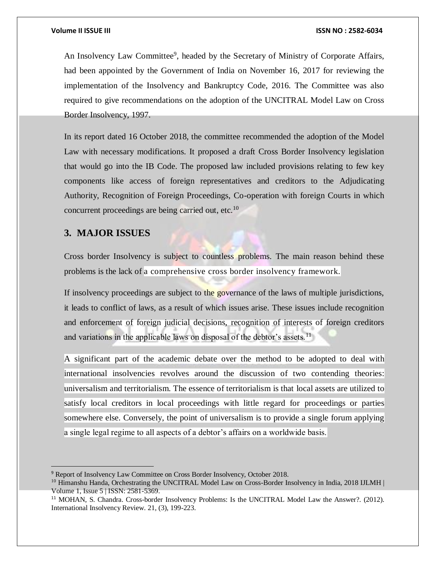An Insolvency Law Committee<sup>9</sup>, headed by the Secretary of Ministry of Corporate Affairs, had been appointed by the Government of India on November 16, 2017 for reviewing the implementation of the Insolvency and Bankruptcy Code, 2016. The Committee was also required to give recommendations on the adoption of the UNCITRAL Model Law on Cross Border Insolvency, 1997.

In its report dated 16 October 2018, the committee recommended the adoption of the Model Law with necessary modifications. It proposed a draft Cross Border Insolvency legislation that would go into the IB Code. The proposed law included provisions relating to few key components like access of foreign representatives and creditors to the Adjudicating Authority, Recognition of Foreign Proceedings, Co-operation with foreign Courts in which concurrent proceedings are being carried out, etc.<sup>10</sup>

### **3. MAJOR ISSUES**

 $\overline{a}$ 

Cross border Insolvency is subject to countless problems. The main reason behind these problems is the lack of a comprehensive cross border insolvency framework.

If insolvency proceedings are subject to the governance of the laws of multiple jurisdictions, it leads to conflict of laws, as a result of which issues arise. These issues include recognition and enforcement of foreign judicial decisions, recognition of interests of foreign creditors and variations in the applicable laws on disposal of the debtor's assets.<sup>11</sup>

A significant part of the academic debate over the method to be adopted to deal with international insolvencies revolves around the discussion of two contending theories: universalism and territorialism. The essence of territorialism is that local assets are utilized to satisfy local creditors in local proceedings with little regard for proceedings or parties somewhere else. Conversely, the point of universalism is to provide a single forum applying a single legal regime to all aspects of a debtor's affairs on a worldwide basis.

<sup>9</sup> Report of Insolvency Law Committee on Cross Border Insolvency, October 2018.

<sup>&</sup>lt;sup>10</sup> Himanshu Handa, Orchestrating the UNCITRAL Model Law on Cross-Border Insolvency in India, 2018 IJLMH Volume 1, Issue 5 | ISSN: 2581-5369.

<sup>&</sup>lt;sup>11</sup> MOHAN, S. Chandra. Cross-border Insolvency Problems: Is the UNCITRAL Model Law the Answer?. (2012). International Insolvency Review. 21, (3), 199-223.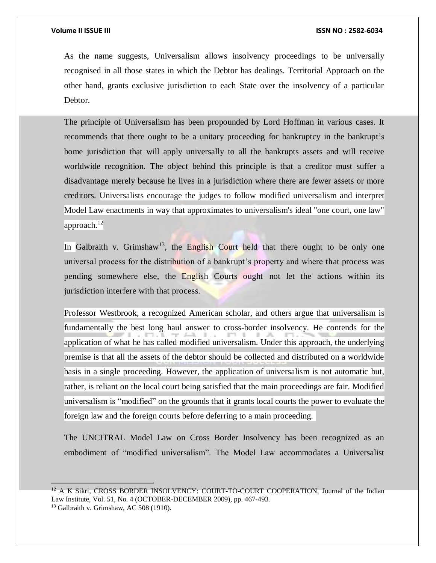$\overline{a}$ 

As the name suggests, Universalism allows insolvency proceedings to be universally recognised in all those states in which the Debtor has dealings. Territorial Approach on the other hand, grants exclusive jurisdiction to each State over the insolvency of a particular Debtor.

The principle of Universalism has been propounded by Lord Hoffman in various cases. It recommends that there ought to be a unitary proceeding for bankruptcy in the bankrupt's home jurisdiction that will apply universally to all the bankrupts assets and will receive worldwide recognition. The object behind this principle is that a creditor must suffer a disadvantage merely because he lives in a jurisdiction where there are fewer assets or more creditors. Universalists encourage the judges to follow modified universalism and interpret Model Law enactments in way that approximates to universalism's ideal "one court, one law" approach.<sup>12</sup>

In Galbraith v. Grimshaw<sup>13</sup>, the English Court held that there ought to be only one universal process for the distribution of a bankrupt's property and where that process was pending somewhere else, the English Courts ought not let the actions within its jurisdiction interfere with that process.

Professor Westbrook, a recognized American scholar, and others argue that universalism is fundamentally the best long haul answer to cross-border insolvency. He contends for the application of what he has called modified universalism. Under this approach, the underlying premise is that all the assets of the debtor should be collected and distributed on a worldwide basis in a single proceeding. However, the application of universalism is not automatic but, rather, is reliant on the local court being satisfied that the main proceedings are fair. Modified universalism is "modified" on the grounds that it grants local courts the power to evaluate the foreign law and the foreign courts before deferring to a main proceeding.

The UNCITRAL Model Law on Cross Border Insolvency has been recognized as an embodiment of "modified universalism". The Model Law accommodates a Universalist

 $12$  A K Sikri, CROSS BORDER INSOLVENCY: COURT-TO-COURT COOPERATION, Journal of the Indian Law Institute, Vol. 51, No. 4 (OCTOBER-DECEMBER 2009), pp. 467-493. <sup>13</sup> Galbraith v. Grimshaw, AC 508 (1910).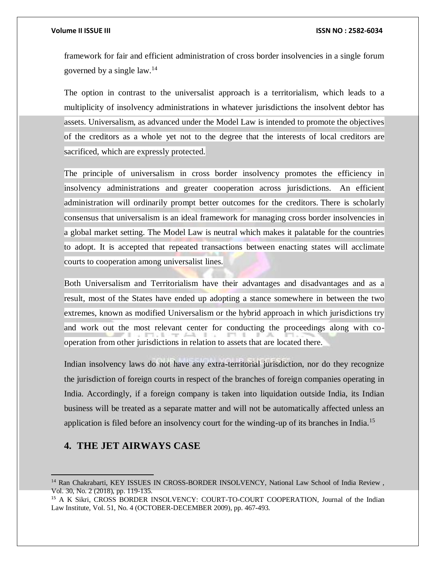### **Volume II ISSUE III ISSN NO : 2582-6034**

framework for fair and efficient administration of cross border insolvencies in a single forum governed by a single law.<sup>14</sup>

The option in contrast to the universalist approach is a territorialism, which leads to a multiplicity of insolvency administrations in whatever jurisdictions the insolvent debtor has assets. Universalism, as advanced under the Model Law is intended to promote the objectives of the creditors as a whole yet not to the degree that the interests of local creditors are sacrificed, which are expressly protected.

The principle of universalism in cross border insolvency promotes the efficiency in insolvency administrations and greater cooperation across jurisdictions. An efficient administration will ordinarily prompt better outcomes for the creditors. There is scholarly consensus that universalism is an ideal framework for managing cross border insolvencies in a global market setting. The Model Law is neutral which makes it palatable for the countries to adopt. It is accepted that repeated transactions between enacting states will acclimate courts to cooperation among universalist lines.

Both Universalism and Territorialism have their advantages and disadvantages and as a result, most of the States have ended up adopting a stance somewhere in between the two extremes, known as modified Universalism or the hybrid approach in which jurisdictions try and work out the most relevant center for conducting the proceedings along with cooperation from other jurisdictions in relation to assets that are located there.

Indian insolvency laws do not have any extra-territorial jurisdiction, nor do they recognize the jurisdiction of foreign courts in respect of the branches of foreign companies operating in India. Accordingly, if a foreign company is taken into liquidation outside India, its Indian business will be treated as a separate matter and will not be automatically affected unless an application is filed before an insolvency court for the winding-up of its branches in India.<sup>15</sup>

## **4. THE JET AIRWAYS CASE**

<sup>&</sup>lt;sup>14</sup> Ran Chakrabarti, KEY ISSUES IN CROSS-BORDER INSOLVENCY, National Law School of India Review, Vol. 30, No. 2 (2018), pp. 119-135.

<sup>&</sup>lt;sup>15</sup> A K Sikri, CROSS BORDER INSOLVENCY: COURT-TO-COURT COOPERATION, Journal of the Indian Law Institute, Vol. 51, No. 4 (OCTOBER-DECEMBER 2009), pp. 467-493.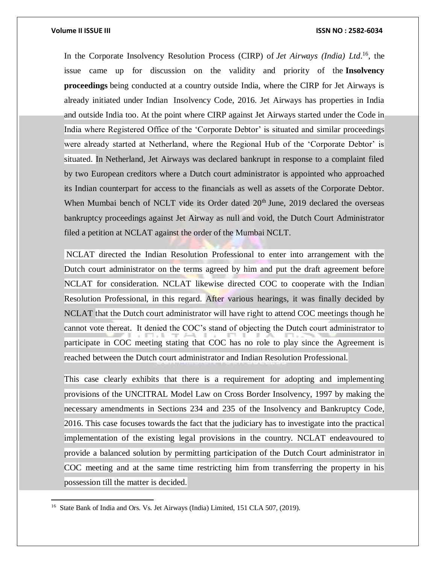### **Volume II ISSUE III III ISSUE III ISSN NO** : **2582-6034**

 $\overline{a}$ 

In the Corporate Insolvency Resolution Process (CIRP) of *Jet Airways (India) Ltd*. <sup>16</sup>, the issue came up for discussion on the validity and priority of the **Insolvency proceedings** being conducted at a country outside India, where the CIRP for Jet Airways is already initiated under Indian Insolvency Code, 2016. Jet Airways has properties in India and outside India too. At the point where CIRP against Jet Airways started under the Code in India where Registered Office of the 'Corporate Debtor' is situated and similar proceedings were already started at Netherland, where the Regional Hub of the 'Corporate Debtor' is situated. In Netherland, Jet Airways was declared bankrupt in response to a complaint filed by two European creditors where a Dutch court administrator is appointed who approached its Indian counterpart for access to the financials as well as assets of the Corporate Debtor. When Mumbai bench of NCLT vide its Order dated  $20<sup>th</sup>$  June, 2019 declared the overseas bankruptcy proceedings against Jet Airway as null and void, the Dutch Court Administrator filed a petition at NCLAT against the order of the Mumbai NCLT.

NCLAT directed the Indian Resolution Professional to enter into arrangement with the Dutch court administrator on the terms agreed by him and put the draft agreement before NCLAT for consideration. NCLAT likewise directed COC to cooperate with the Indian Resolution Professional, in this regard. After various hearings, it was finally decided by NCLAT that the Dutch court administrator will have right to attend COC meetings though he cannot vote thereat. It denied the COC's stand of objecting the Dutch court administrator to participate in COC meeting stating that COC has no role to play since the Agreement is reached between the Dutch court administrator and Indian Resolution Professional.

This case clearly exhibits that there is a requirement for adopting and implementing provisions of the UNCITRAL Model Law on Cross Border Insolvency, 1997 by making the necessary amendments in Sections 234 and 235 of the Insolvency and Bankruptcy Code, 2016. This case focuses towards the fact that the judiciary has to investigate into the practical implementation of the existing legal provisions in the country. NCLAT endeavoured to provide a balanced solution by permitting participation of the Dutch Court administrator in COC meeting and at the same time restricting him from transferring the property in his possession till the matter is decided.

<sup>&</sup>lt;sup>16</sup> State Bank of India and Ors. Vs. Jet Airways (India) Limited, 151 CLA 507, (2019).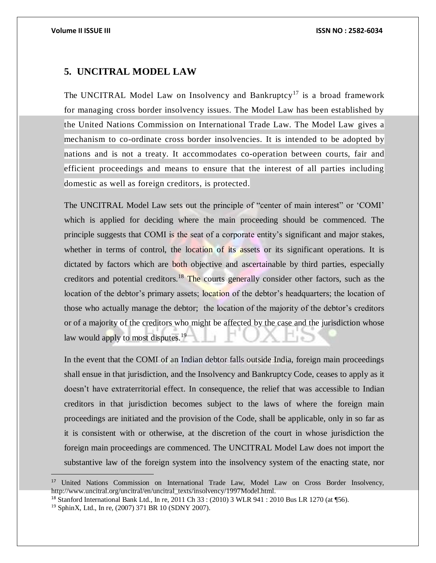### **5. UNCITRAL MODEL LAW**

The UNCITRAL Model Law on Insolvency and Bankruptcy<sup>17</sup> is a broad framework for managing cross border insolvency issues. The Model Law has been established by the United Nations Commission on International Trade Law. The Model Law gives a mechanism to co-ordinate cross border insolvencies. It is intended to be adopted by nations and is not a treaty. It accommodates co-operation between courts, fair and efficient proceedings and means to ensure that the interest of all parties including domestic as well as foreign creditors, is protected.

The UNCITRAL Model Law sets out the principle of "center of main interest" or 'COMI' which is applied for deciding where the main proceeding should be commenced. The principle suggests that COMI is the seat of a corporate entity's significant and major stakes, whether in terms of control, the location of its assets or its significant operations. It is dictated by factors which are both objective and ascertainable by third parties, especially creditors and potential creditors.<sup>18</sup> The courts generally consider other factors, such as the location of the debtor's primary assets; location of the debtor's headquarters; the location of those who actually manage the debtor; the location of the majority of the debtor's creditors or of a majority of the creditors who might be affected by the case and the jurisdiction whose law would apply to most disputes.<sup>19</sup>

In the event that the COMI of an Indian debtor falls outside India, foreign main proceedings shall ensue in that jurisdiction, and the Insolvency and Bankruptcy Code, ceases to apply as it doesn't have extraterritorial effect. In consequence, the relief that was accessible to Indian creditors in that jurisdiction becomes subject to the laws of where the foreign main proceedings are initiated and the provision of the Code, shall be applicable, only in so far as it is consistent with or otherwise, at the discretion of the court in whose jurisdiction the foreign main proceedings are commenced. The UNCITRAL Model Law does not import the substantive law of the foreign system into the insolvency system of the enacting state, nor

<sup>17</sup> United Nations Commission on International Trade Law, Model Law on Cross Border Insolvency, http://www.uncitral.org/uncitral/en/uncitral\_texts/insolvency/1997Model.html.

<sup>18</sup> Stanford International Bank Ltd., In re, 2011 Ch 33 : (2010) 3 WLR 941 : 2010 Bus LR 1270 (at ¶56).

<sup>19</sup> SphinX, Ltd., In re, (2007) 371 BR 10 (SDNY 2007).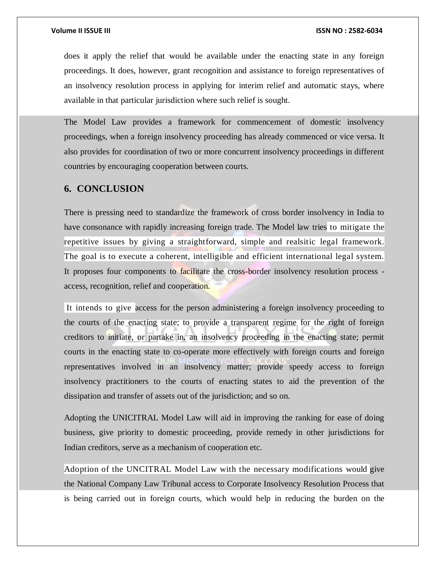does it apply the relief that would be available under the enacting state in any foreign proceedings. It does, however, grant recognition and assistance to foreign representatives of an insolvency resolution process in applying for interim relief and automatic stays, where available in that particular jurisdiction where such relief is sought.

The Model Law provides a framework for commencement of domestic insolvency proceedings, when a foreign insolvency proceeding has already commenced or vice versa. It also provides for coordination of two or more concurrent insolvency proceedings in different countries by encouraging cooperation between courts.

### **6. CONCLUSION**

There is pressing need to standardize the framework of cross border insolvency in India to have consonance with rapidly increasing foreign trade. The Model law tries to mitigate the repetitive issues by giving a straightforward, simple and realsitic legal framework. The goal is to execute a coherent, intelligible and efficient international legal system. It proposes four components to facilitate the cross-border insolvency resolution process access, recognition, relief and cooperation.

It intends to give access for the person administering a foreign insolvency proceeding to the courts of the enacting state; to provide a transparent regime for the right of foreign creditors to initiate, or partake in, an insolvency proceeding in the enacting state; permit courts in the enacting state to co-operate more effectively with foreign courts and foreign representatives involved in an insolvency matter; provide speedy access to foreign insolvency practitioners to the courts of enacting states to aid the prevention of the dissipation and transfer of assets out of the jurisdiction; and so on.

Adopting the UNICITRAL Model Law will aid in improving the ranking for ease of doing business, give priority to domestic proceeding, provide remedy in other jurisdictions for Indian creditors, serve as a mechanism of cooperation etc.

Adoption of the UNCITRAL Model Law with the necessary modifications would give the National Company Law Tribunal access to Corporate Insolvency Resolution Process that is being carried out in foreign courts, which would help in reducing the burden on the